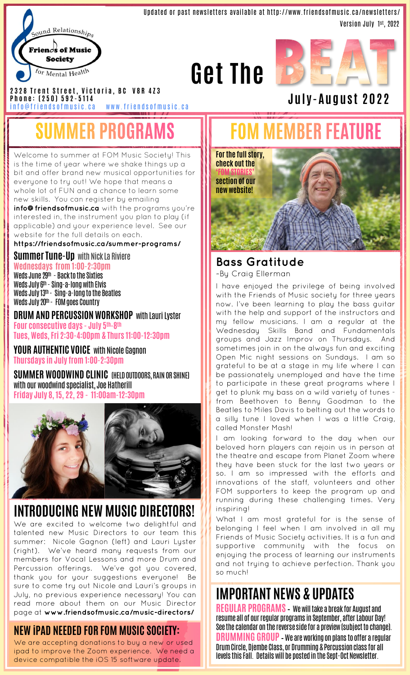

Updated or past newsletters available at http://www.friendsofmusic.ca/newsletters/ Version July 1 st, 2022





**J u l y -A u g u s t 2 0 2 2**

**2 3 2 8 T r e n t S t r e e t , V i c t o r i a , B C V 8 R 4 Z 3** 

**P h o n e : ( 2 5 0 ) 5 9 2 - 5 1 1 4** info@friendsofmusic.ca www.friendsofmusic.ca

### **MMER PROGRAMS**

Welcome to summer at FOM Music Society! This is the time of year where we shake things up a bit and offer brand new musical opportunities for everyone to try out! We hope that means a whole lot of FUN and a chance to learn some new skills. You can register by emailing **info@friendsofmusic.ca** with the programs you're interested in, the instrument you plan to play (if applicable) and your experience level. See our website for the full details on each.

**https://friendsofmusic.ca/summer-programs/**

**Summer Tune-Up** with Nick La Riviere **Wednesdays from 1:00-2:30pm** 

Weds June 29th - Back to the Sixties Weds July 6th - Sing-a-long with Elvis Weds July 13th - Sing-a-long to the Beatles Weds July 20th - FOM goes Country

**DRUM AND PERCUSSION WORKSHOP** with Lauri Lyster **Four consecutive days - July 5th -8 th Tues, Weds, Fri 2:30-4:00pm & Thurs 11:00-12:30pm**

**YOUR AUTHENTIC VOICE** with Nicole Gagnon **Thursdays in July from 1:00-2:30pm**

**SUMMER WOODWIND CLINIC** (HELD OUTDOORS, RAIN OR SHINE) with our woodwind specialist, Joe Hatherill **Friday July 8, 15, 22, 29 - 11:00am-12:30pm**



#### **INTRODUCING NEW MUSIC DIRECTORS!**

We are excited to welcome two delightful and talented new Music Directors to our team this summer: Nicole Gagnon (left) and Lauri Lyster (right). We've heard many requests from our members for Vocal Lessons and more Drum and Percussion offerings. We've got you covered, thank you for your suggestions everyone! Be sure to come try out Nicole and Lauri's groups in July, no previous experience necessary! You can read more about them on our Music Director page at **www.friendsofmusic.ca/music-directors/**

#### **NEW iPAD NEEDED FOR FOM MUSIC SOCIETY:**

We are accepting donations to buy a new or used ipad to improve the Zoom experience. We need a device compatible the iOS 15 software update.

### **FOM MEMBER FEATURE**



#### **Bass Gratitude**

~By Craig Ellerman

I have enjoyed the privilege of being involved with the Friends of Music society for three years now. I've been learning to play the bass guitar with the help and support of the instructors and my fellow musicians. I am a regular at the Wednesday Skills Band and Fundamentals groups and Jazz Improv on Thursdays. And sometimes join in on the always fun and exciting Open Mic night sessions on Sundays. I am so grateful to be at a stage in my life where I can be passionately unemployed and have the time to participate in these great programs where I get to plunk my bass on a wild variety of tunes from Beethoven to Benny Goodman to the Beatles to Miles Davis to belting out the words to a silly tune I loved when I was a little Craig, called Monster Mash!

I am looking forward to the day when our beloved horn players can rejoin us in person at the theatre and escape from Planet Zoom where they have been stuck for the last two years or so. I am so impressed with the efforts and innovations of the staff, volunteers and other FOM supporters to keep the program up and running during these challenging times. Very inspiring!

What I am most grateful for is the sense of belonging I feel when I am involved in all my Friends of Music Society activities. It is a fun and supportive community with the focus on enjoying the process of learning our instruments and not trying to achieve perfection. Thank you so much!

#### **IMPORTANT NEWS & UPDATES**

**REGULAR PROGRAMS** – We will take a break for August and resume all of our regular programs in September, after Labour Day! See the calendar on the reverse side for a preview (subject to change). **DRUMMING GROUP** –We are working on plans to offer a regular Drum Circle, Djembe Class, or Drumming & Percussion class for all levels this Fall. Details will be posted in the Sept-Oct Newsletter.